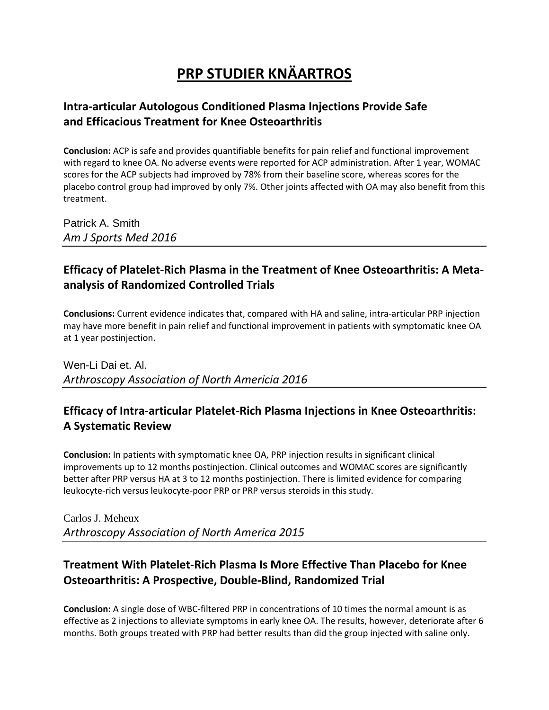# **PRP STUDIER KNÄARTROS**

#### **Intra-articular Autologous Conditioned Plasma Injections Provide Safe and Efficacious Treatment for Knee Osteoarthritis**

**Conclusion:** ACP is safe and provides quantifiable benefits for pain relief and functional improvement with regard to knee OA. No adverse events were reported for ACP administration. After 1 year, WOMAC scores for the ACP subjects had improved by 78% from their baseline score, whereas scores for the placebo control group had improved by only 7%. Other joints affected with OA may also benefit from this treatment.

Patrick A. Smith *Am J Sports Med 2016*

### **Efficacy of Platelet-Rich Plasma in the Treatment of Knee Osteoarthritis: A Metaanalysis of Randomized Controlled Trials**

**Conclusions:** Current evidence indicates that, compared with HA and saline, intra-articular PRP injection may have more benefit in pain relief and functional improvement in patients with symptomatic knee OA at 1 year postinjection.

Wen-Li Dai et. Al. *Arthroscopy Association of North Americia 2016*

#### **Efficacy of Intra-articular Platelet-Rich Plasma Injections in Knee Osteoarthritis: A Systematic Review**

**Conclusion:** In patients with symptomatic knee OA, PRP injection results in significant clinical improvements up to 12 months postinjection. Clinical outcomes and WOMAC scores are significantly better after PRP versus HA at 3 to 12 months postinjection. There is limited evidence for comparing leukocyte-rich versus leukocyte-poor PRP or PRP versus steroids in this study.

Carlos J. Meheux *Arthroscopy Association of North America 2015*

#### **Treatment With Platelet-Rich Plasma Is More Effective Than Placebo for Knee Osteoarthritis: A Prospective, Double-Blind, Randomized Trial**

**Conclusion:** A single dose of WBC-filtered PRP in concentrations of 10 times the normal amount is as effective as 2 injections to alleviate symptoms in early knee OA. The results, however, deteriorate after 6 months. Both groups treated with PRP had better results than did the group injected with saline only.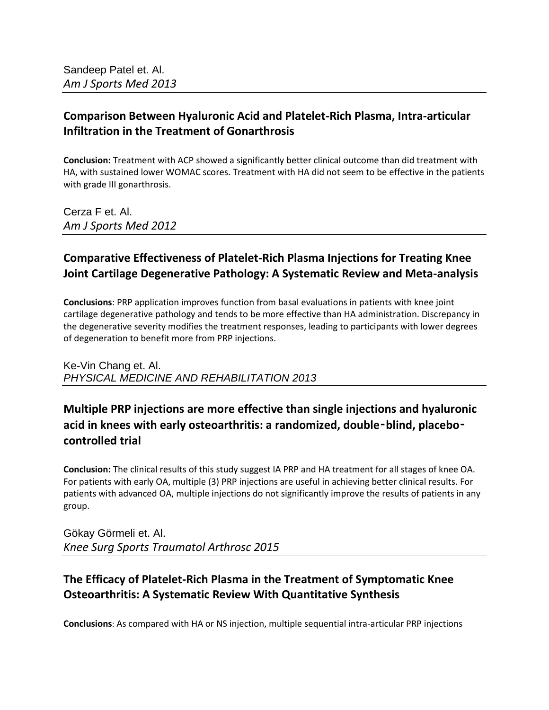#### **Comparison Between Hyaluronic Acid and Platelet-Rich Plasma, Intra-articular Infiltration in the Treatment of Gonarthrosis**

**Conclusion:** Treatment with ACP showed a significantly better clinical outcome than did treatment with HA, with sustained lower WOMAC scores. Treatment with HA did not seem to be effective in the patients with grade III gonarthrosis.

Cerza F et. Al. *Am J Sports Med 2012*

### **Comparative Effectiveness of Platelet-Rich Plasma Injections for Treating Knee Joint Cartilage Degenerative Pathology: A Systematic Review and Meta-analysis**

**Conclusions**: PRP application improves function from basal evaluations in patients with knee joint cartilage degenerative pathology and tends to be more effective than HA administration. Discrepancy in the degenerative severity modifies the treatment responses, leading to participants with lower degrees of degeneration to benefit more from PRP injections.

Ke-Vin Chang et. Al. *PHYSICAL MEDICINE AND REHABILITATION 2013*

## **Multiple PRP injections are more effective than single injections and hyaluronic acid in knees with early osteoarthritis: a randomized, double**‑**blind, placebo**‑ **controlled trial**

**Conclusion:** The clinical results of this study suggest IA PRP and HA treatment for all stages of knee OA. For patients with early OA, multiple (3) PRP injections are useful in achieving better clinical results. For patients with advanced OA, multiple injections do not significantly improve the results of patients in any group.

Gökay Görmeli et. Al. *Knee Surg Sports Traumatol Arthrosc 2015*

#### **The Efficacy of Platelet-Rich Plasma in the Treatment of Symptomatic Knee Osteoarthritis: A Systematic Review With Quantitative Synthesis**

**Conclusions**: As compared with HA or NS injection, multiple sequential intra-articular PRP injections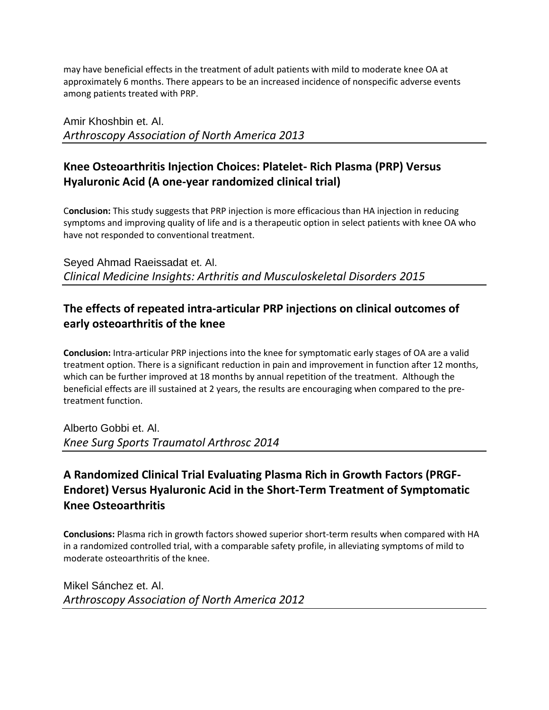may have beneficial effects in the treatment of adult patients with mild to moderate knee OA at approximately 6 months. There appears to be an increased incidence of nonspecific adverse events among patients treated with PRP.

Amir Khoshbin et. Al. *Arthroscopy Association of North America 2013*

#### **Knee Osteoarthritis Injection Choices: Platelet- Rich Plasma (PRP) Versus Hyaluronic Acid (A one-year randomized clinical trial)**

C**onclus**i**on:** This study suggests that PRP injection is more efficacious than HA injection in reducing symptoms and improving quality of life and is a therapeutic option in select patients with knee OA who have not responded to conventional treatment.

Seyed Ahmad Raeissadat et. Al. *Clinical Medicine Insights: Arthritis and Musculoskeletal Disorders 2015*

#### **The effects of repeated intra-articular PRP injections on clinical outcomes of early osteoarthritis of the knee**

**Conclusion:** Intra-articular PRP injections into the knee for symptomatic early stages of OA are a valid treatment option. There is a significant reduction in pain and improvement in function after 12 months, which can be further improved at 18 months by annual repetition of the treatment. Although the beneficial effects are ill sustained at 2 years, the results are encouraging when compared to the pretreatment function.

Alberto Gobbi et. Al. *Knee Surg Sports Traumatol Arthrosc 2014*

## **A Randomized Clinical Trial Evaluating Plasma Rich in Growth Factors (PRGF-Endoret) Versus Hyaluronic Acid in the Short-Term Treatment of Symptomatic Knee Osteoarthritis**

**Conclusions:** Plasma rich in growth factors showed superior short-term results when compared with HA in a randomized controlled trial, with a comparable safety profile, in alleviating symptoms of mild to moderate osteoarthritis of the knee.

Mikel Sánchez et. Al. *Arthroscopy Association of North America 2012*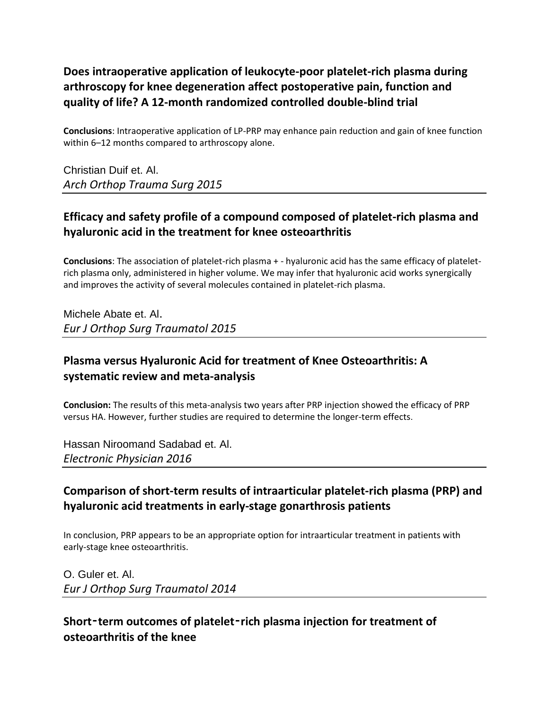## **Does intraoperative application of leukocyte-poor platelet-rich plasma during arthroscopy for knee degeneration affect postoperative pain, function and quality of life? A 12-month randomized controlled double-blind trial**

**Conclusions**: Intraoperative application of LP-PRP may enhance pain reduction and gain of knee function within 6–12 months compared to arthroscopy alone.

Christian Duif et. Al. *Arch Orthop Trauma Surg 2015*

### **Efficacy and safety profile of a compound composed of platelet-rich plasma and hyaluronic acid in the treatment for knee osteoarthritis**

**Conclusions**: The association of platelet-rich plasma + - hyaluronic acid has the same efficacy of plateletrich plasma only, administered in higher volume. We may infer that hyaluronic acid works synergically and improves the activity of several molecules contained in platelet-rich plasma.

Michele Abate et. Al. *Eur J Orthop Surg Traumatol 2015*

#### **Plasma versus Hyaluronic Acid for treatment of Knee Osteoarthritis: A systematic review and meta-analysis**

**Conclusion:** The results of this meta-analysis two years after PRP injection showed the efficacy of PRP versus HA. However, further studies are required to determine the longer-term effects.

Hassan Niroomand Sadabad et. Al. *Electronic Physician 2016*

## **Comparison of short-term results of intraarticular platelet-rich plasma (PRP) and hyaluronic acid treatments in early-stage gonarthrosis patients**

In conclusion, PRP appears to be an appropriate option for intraarticular treatment in patients with early-stage knee osteoarthritis.

O. Guler et. Al. *Eur J Orthop Surg Traumatol 2014*

#### **Short**‑**term outcomes of platelet**‑**rich plasma injection for treatment of osteoarthritis of the knee**